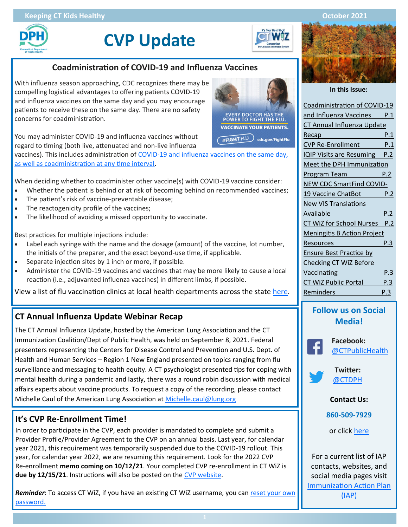

**CVP Update**

**EVERY DOCTOR HAS THE<br>POWER TO FIGHT THE FLU VACCINATE YOUR PATIENTS.** #FIGHT FLU cdc.gov/FightFlu

## **Coadministration of COVID-19 and Influenza Vaccines**

With influenza season approaching, CDC recognizes there may be compelling logistical advantages to offering patients COVID-19 and influenza vaccines on the same day and you may encourage patients to receive these on the same day. There are no safety concerns for coadministration.

You may administer COVID-19 and influenza vaccines without regard to timing (both live, attenuated and non-live influenza

vaccines). This includes administration of COVID-[19 and influenza vaccines on the same day,](https://www.cdc.gov/vaccines/covid-19/clinical-considerations/covid-19-vaccines-us.html?CDC_AA_refVal=https%3A%2F%2Fwww.cdc.gov%2Fvaccines%2Fcovid-19%2Finfo-by-product%2Fclinical-considerations.html#Coadministration)  [as well as coadministration at any time interval.](https://www.cdc.gov/vaccines/covid-19/clinical-considerations/covid-19-vaccines-us.html?CDC_AA_refVal=https%3A%2F%2Fwww.cdc.gov%2Fvaccines%2Fcovid-19%2Finfo-by-product%2Fclinical-considerations.html#Coadministration) 

When deciding whether to coadminister other vaccine(s) with COVID-19 vaccine consider:

- Whether the patient is behind or at risk of becoming behind on recommended vaccines;
- The patient's risk of vaccine-preventable disease;
- The reactogenicity profile of the vaccines;
- The likelihood of avoiding a missed opportunity to vaccinate.

Best practices for multiple injections include:

- Label each syringe with the name and the dosage (amount) of the vaccine, lot number, the initials of the preparer, and the exact beyond-use time, if applicable.
- Separate injection sites by 1 inch or more, if possible.
- Administer the COVID-19 vaccines and vaccines that may be more likely to cause a local reaction (i.e., adjuvanted influenza vaccines) in different limbs, if possible.

View a list of flu vaccination clinics at local health departments across the state [here.](https://portal.ct.gov/DPH/Immunizations/2021-22-CT-Flu-Vaccination-Clinics)

## **CT Annual Influenza Update Webinar Recap**

The CT Annual Influenza Update, hosted by the American Lung Association and the CT Immunization Coalition/Dept of Public Health, was held on September 8, 2021. Federal presenters representing the Centers for Disease Control and Prevention and U.S. Dept. of Health and Human Services – Region 1 New England presented on topics ranging from flu surveillance and messaging to health equity. A CT psychologist presented tips for coping with mental health during a pandemic and lastly, there was a round robin discussion with medical affairs experts about vaccine products. To request a copy of the recording, please contact Michelle Caul of the American Lung Association at [Michelle.caul@lung.org](mailto:Michelle.caul@lung.org)

# **It's CVP Re-Enrollment Time!**

In order to participate in the CVP, each provider is mandated to complete and submit a Provider Profile/Provider Agreement to the CVP on an annual basis. Last year, for calendar year 2021, this requirement was temporarily suspended due to the COVID-19 rollout. This year, for calendar year 2022, we are resuming this requirement. Look for the 2022 CVP Re-enrollment **memo coming on 10/12/21**. Your completed CVP re-enrollment in CT WiZ is **due by 12/15/21**. Instructions will also be posted on the [CVP website.](https://portal.ct.gov/DPH/Immunizations/CVP---Information-for-Providers)

*Reminder*: To access CT WiZ, if you have an existing CT WiZ username, you can [reset your own](https://portal.ct.gov/DPH/Immunizations/CT-WiZ-User-Account)  [password.](https://portal.ct.gov/DPH/Immunizations/CT-WiZ-User-Account)



**In this Issue:**

| Coadministration of COVID-19        |     |  |  |
|-------------------------------------|-----|--|--|
| and Influenza Vaccines P.1          |     |  |  |
| CT Annual Influenza Update          |     |  |  |
|                                     | P.1 |  |  |
| CVP Re-Enrollment P.1               |     |  |  |
| <b>IQIP Visits are Resuming P.2</b> |     |  |  |
| Meet the DPH Immunization           |     |  |  |
| Program Team P.2                    |     |  |  |
| NEW CDC SmartFind COVID-            |     |  |  |
| 19 Vaccine ChatBot P.2              |     |  |  |
| <b>New VIS Translations</b>         |     |  |  |
| Available                           | P.2 |  |  |
| CT WiZ for School Nurses P.2        |     |  |  |
| <b>Meningitis B Action Project</b>  |     |  |  |
| Resources                           | P.3 |  |  |
| <b>Ensure Best Practice by</b>      |     |  |  |
| <b>Checking CT WiZ Before</b>       |     |  |  |
| Vaccinating                         | P.3 |  |  |
| <b>CT WiZ Public Portal</b>         | P.3 |  |  |
| Reminders                           | P.3 |  |  |
|                                     |     |  |  |

# **Follow us on Social Media!**



 **Facebook:**  [@CTPublicHealth](https://www.facebook.com/CTPublicHealth)



[@CTDPH](https://twitter.com/ctdph)

**Contact Us:** 

**860-509-7929** 

or click [here](https://portal.ct.gov/DPH/Immunizations/CONNECTICUT-IMMUNIZATION--PROGRAM)

For a current list of IAP contacts, websites, and social media pages visit [Immunization Action Plan](https://portal.ct.gov/DPH/Immunizations/Immunization-Action-Plan-IAP)  [\(IAP\)](https://portal.ct.gov/DPH/Immunizations/Immunization-Action-Plan-IAP)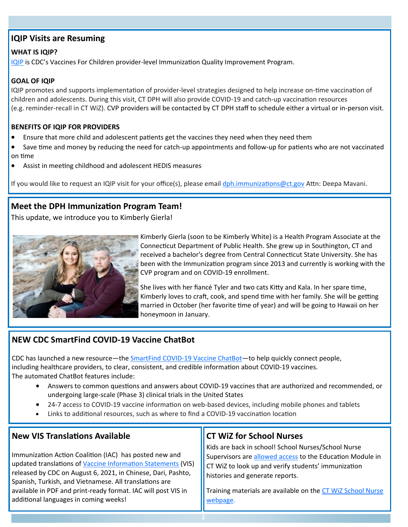## **IQIP Visits are Resuming**

#### **WHAT IS IQIP?**

[IQIP](https://www.cdc.gov/vaccines/programs/iqip/) is CDC's Vaccines For Children provider-level Immunization Quality Improvement Program.

### **GOAL OF IQIP**

IQIP promotes and supports implementation of provider-level strategies designed to help increase on-time vaccination of children and adolescents. During this visit, CT DPH will also provide COVID-19 and catch-up vaccination resources (e.g. reminder-recall in CT WiZ). CVP providers will be contacted by CT DPH staff to schedule either a virtual or in-person visit.

#### **BENEFITS OF IQIP FOR PROVIDERS**

- Ensure that more child and adolescent patients get the vaccines they need when they need them
- Save time and money by reducing the need for catch-up appointments and follow-up for patients who are not vaccinated on time
- Assist in meeting childhood and adolescent HEDIS measures

If you would like to request an IQIP visit for your office(s), please email [dph.immunizations@ct.gov](mailto:dph.immunizations@ct.gov) Attn: Deepa Mavani.

## **Meet the DPH Immunization Program Team!**

This update, we introduce you to Kimberly Gierla!



Kimberly Gierla (soon to be Kimberly White) is a Health Program Associate at the Connecticut Department of Public Health. She grew up in Southington, CT and received a bachelor's degree from Central Connecticut State University. She has been with the Immunization program since 2013 and currently is working with the CVP program and on COVID-19 enrollment.

She lives with her fiancé Tyler and two cats Kitty and Kala. In her spare time, Kimberly loves to craft, cook, and spend time with her family. She will be getting married in October (her favorite time of year) and will be going to Hawaii on her honeymoon in January.

## **NEW CDC SmartFind COVID-19 Vaccine ChatBot**

CDC has launched a new resource—the SmartFind COVID-19 Vaccine [ChatBot—](https://www.cdc.gov/vaccines/covid-19/index.html)to help quickly connect people, including healthcare providers, to clear, consistent, and credible information about COVID-19 vaccines. The automated ChatBot features include:

- Answers to common questions and answers about COVID-19 vaccines that are authorized and recommended, or undergoing large-scale (Phase 3) clinical trials in the United States
- 24-7 access to COVID-19 vaccine information on web-based devices, including mobile phones and tablets
- Links to additional resources, such as where to find a COVID-19 vaccination location

| <b>New VIS Translations Available</b>                         | <b>CT WiZ for School Nurses</b>                             |
|---------------------------------------------------------------|-------------------------------------------------------------|
| Immunization Action Coalition (IAC) has posted new and        | Kids are back in school! School Nurses/School Nurse         |
| updated translations of Vaccine Information Statements (VIS)  | Supervisors are allowed access to the Education Module in   |
| released by CDC on August 6, 2021, in Chinese, Dari, Pashto,  | CT WiZ to look up and verify students' immunization         |
| Spanish, Turkish, and Vietnamese. All translations are        | histories and generate reports.                             |
| available in PDF and print-ready format. IAC will post VIS in | Training materials are available on the CT WiZ School Nurse |
| additional languages in coming weeks!                         | webpage.                                                    |